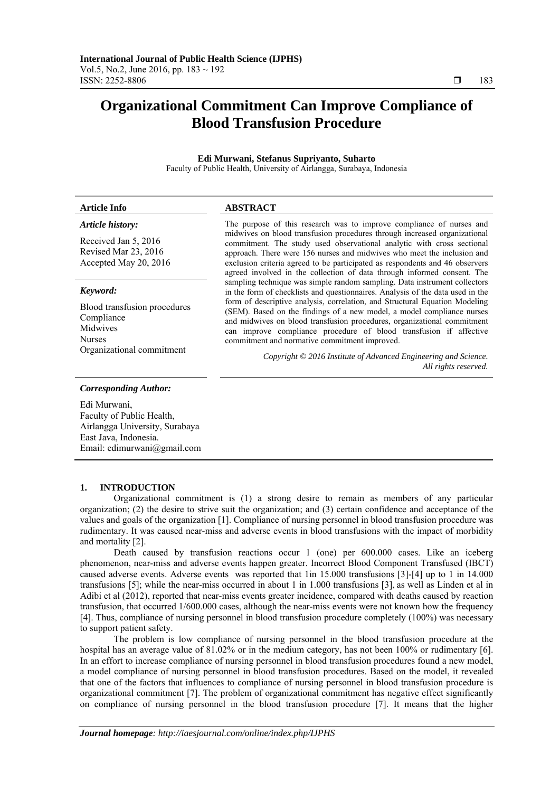# **Organizational Commitment Can Improve Compliance of Blood Transfusion Procedure**

#### **Edi Murwani, Stefanus Supriyanto, Suharto**  Faculty of Public Health, University of Airlangga, Surabaya, Indonesia

#### **Article Info ABSTRACT**

## *Article history:*

Received Jan 5, 2016 Revised Mar 23, 2016 Accepted May 20, 2016

#### *Keyword:*

Blood transfusion procedures Compliance Midwives Nurses

The purpose of this research was to improve compliance of nurses and midwives on blood transfusion procedures through increased organizational commitment. The study used observational analytic with cross sectional approach. There were 156 nurses and midwives who meet the inclusion and exclusion criteria agreed to be participated as respondents and 46 observers agreed involved in the collection of data through informed consent. The sampling technique was simple random sampling. Data instrument collectors in the form of checklists and questionnaires. Analysis of the data used in the form of descriptive analysis, correlation, and Structural Equation Modeling (SEM). Based on the findings of a new model, a model compliance nurses and midwives on blood transfusion procedures, organizational commitment can improve compliance procedure of blood transfusion if affective commitment and normative commitment improved.

Organizational commitment *Copyright © 2016 Institute of Advanced Engineering and Science. All rights reserved.* 

#### *Corresponding Author:*

Edi Murwani, Faculty of Public Health, Airlangga University, Surabaya East Java, Indonesia. Email: edimurwani@gmail.com

#### **1. INTRODUCTION**

Organizational commitment is (1) a strong desire to remain as members of any particular organization; (2) the desire to strive suit the organization; and (3) certain confidence and acceptance of the values and goals of the organization [1]. Compliance of nursing personnel in blood transfusion procedure was rudimentary. It was caused near-miss and adverse events in blood transfusions with the impact of morbidity and mortality [2].

Death caused by transfusion reactions occur 1 (one) per 600.000 cases. Like an iceberg phenomenon, near-miss and adverse events happen greater. Incorrect Blood Component Transfused (IBCT) caused adverse events. Adverse events was reported that 1in 15.000 transfusions [3]-[4] up to 1 in 14.000 transfusions [5]; while the near-miss occurred in about 1 in 1.000 transfusions [3], as well as Linden et al in Adibi et al (2012), reported that near-miss events greater incidence, compared with deaths caused by reaction transfusion, that occurred 1/600.000 cases, although the near-miss events were not known how the frequency [4]. Thus, compliance of nursing personnel in blood transfusion procedure completely (100%) was necessary to support patient safety.

The problem is low compliance of nursing personnel in the blood transfusion procedure at the hospital has an average value of 81.02% or in the medium category, has not been 100% or rudimentary [6]. In an effort to increase compliance of nursing personnel in blood transfusion procedures found a new model, a model compliance of nursing personnel in blood transfusion procedures. Based on the model, it revealed that one of the factors that influences to compliance of nursing personnel in blood transfusion procedure is organizational commitment [7]. The problem of organizational commitment has negative effect significantly on compliance of nursing personnel in the blood transfusion procedure [7]. It means that the higher

ֺֺ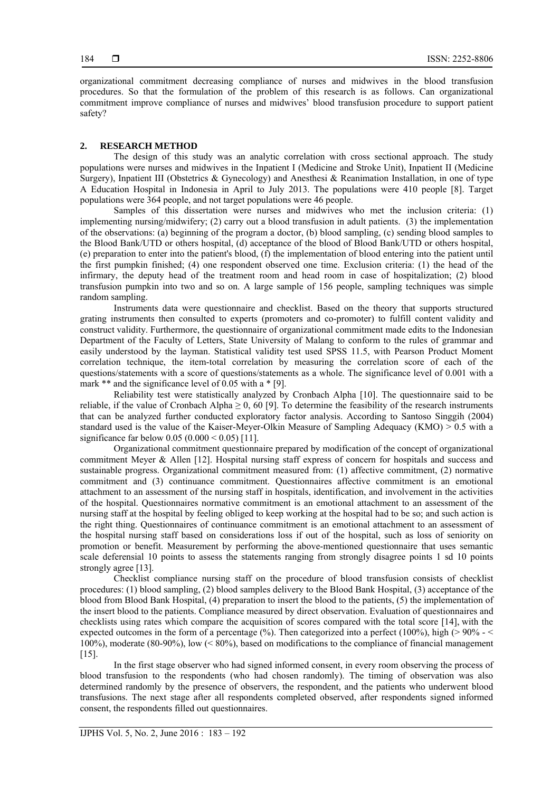organizational commitment decreasing compliance of nurses and midwives in the blood transfusion procedures. So that the formulation of the problem of this research is as follows. Can organizational commitment improve compliance of nurses and midwives' blood transfusion procedure to support patient safety?

#### **2. RESEARCH METHOD**

The design of this study was an analytic correlation with cross sectional approach. The study populations were nurses and midwives in the Inpatient I (Medicine and Stroke Unit), Inpatient II (Medicine Surgery), Inpatient III (Obstetrics & Gynecology) and Anesthesi & Reanimation Installation, in one of type A Education Hospital in Indonesia in April to July 2013. The populations were 410 people [8]. Target populations were 364 people, and not target populations were 46 people.

Samples of this dissertation were nurses and midwives who met the inclusion criteria: (1) implementing nursing/midwifery; (2) carry out a blood transfusion in adult patients. (3) the implementation of the observations: (a) beginning of the program a doctor, (b) blood sampling, (c) sending blood samples to the Blood Bank/UTD or others hospital, (d) acceptance of the blood of Blood Bank/UTD or others hospital, (e) preparation to enter into the patient's blood, (f) the implementation of blood entering into the patient until the first pumpkin finished; (4) one respondent observed one time. Exclusion criteria: (1) the head of the infirmary, the deputy head of the treatment room and head room in case of hospitalization; (2) blood transfusion pumpkin into two and so on. A large sample of 156 people, sampling techniques was simple random sampling.

Instruments data were questionnaire and checklist. Based on the theory that supports structured grating instruments then consulted to experts (promoters and co-promoter) to fulfill content validity and construct validity. Furthermore, the questionnaire of organizational commitment made edits to the Indonesian Department of the Faculty of Letters, State University of Malang to conform to the rules of grammar and easily understood by the layman. Statistical validity test used SPSS 11.5, with Pearson Product Moment correlation technique, the item-total correlation by measuring the correlation score of each of the questions/statements with a score of questions/statements as a whole. The significance level of 0.001 with a mark \*\* and the significance level of 0.05 with a \* [9].

Reliability test were statistically analyzed by Cronbach Alpha [10]. The questionnaire said to be reliable, if the value of Cronbach Alpha  $\geq 0$ , 60 [9]. To determine the feasibility of the research instruments that can be analyzed further conducted exploratory factor analysis. According to Santoso Singgih (2004) standard used is the value of the Kaiser-Meyer-Olkin Measure of Sampling Adequacy (KMO) > 0.5 with a significance far below  $0.05 (0.000 \le 0.05)$  [11].

Organizational commitment questionnaire prepared by modification of the concept of organizational commitment Meyer & Allen [12]. Hospital nursing staff express of concern for hospitals and success and sustainable progress. Organizational commitment measured from: (1) affective commitment, (2) normative commitment and (3) continuance commitment. Questionnaires affective commitment is an emotional attachment to an assessment of the nursing staff in hospitals, identification, and involvement in the activities of the hospital. Questionnaires normative commitment is an emotional attachment to an assessment of the nursing staff at the hospital by feeling obliged to keep working at the hospital had to be so; and such action is the right thing. Questionnaires of continuance commitment is an emotional attachment to an assessment of the hospital nursing staff based on considerations loss if out of the hospital, such as loss of seniority on promotion or benefit. Measurement by performing the above-mentioned questionnaire that uses semantic scale deferensial 10 points to assess the statements ranging from strongly disagree points 1 sd 10 points strongly agree [13].

Checklist compliance nursing staff on the procedure of blood transfusion consists of checklist procedures: (1) blood sampling, (2) blood samples delivery to the Blood Bank Hospital, (3) acceptance of the blood from Blood Bank Hospital, (4) preparation to insert the blood to the patients, (5) the implementation of the insert blood to the patients. Compliance measured by direct observation. Evaluation of questionnaires and checklists using rates which compare the acquisition of scores compared with the total score [14], with the expected outcomes in the form of a percentage (%). Then categorized into a perfect (100%), high ( $> 90\% - \le$ 100%), moderate (80-90%), low (< 80%), based on modifications to the compliance of financial management [15].

In the first stage observer who had signed informed consent, in every room observing the process of blood transfusion to the respondents (who had chosen randomly). The timing of observation was also determined randomly by the presence of observers, the respondent, and the patients who underwent blood transfusions. The next stage after all respondents completed observed, after respondents signed informed consent, the respondents filled out questionnaires.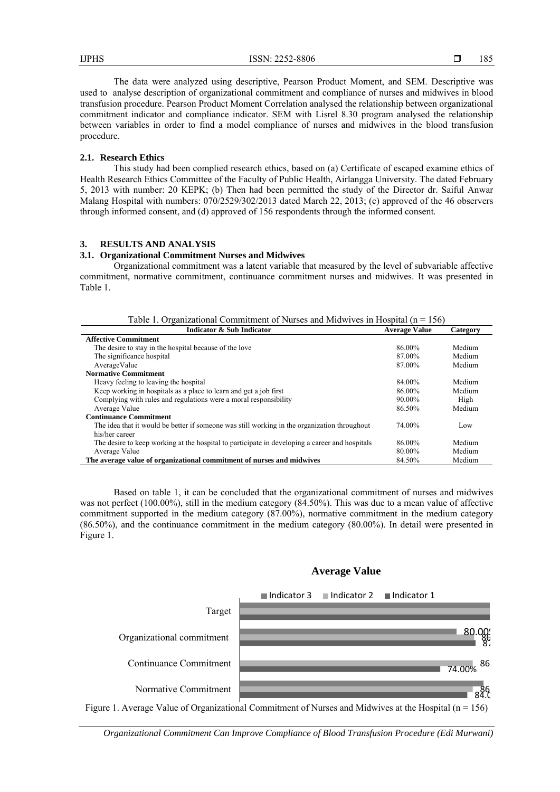The data were analyzed using descriptive, Pearson Product Moment, and SEM. Descriptive was used to analyse description of organizational commitment and compliance of nurses and midwives in blood transfusion procedure. Pearson Product Moment Correlation analysed the relationship between organizational commitment indicator and compliance indicator. SEM with Lisrel 8.30 program analysed the relationship between variables in order to find a model compliance of nurses and midwives in the blood transfusion procedure.

#### **2.1. Research Ethics**

This study had been complied research ethics, based on (a) Certificate of escaped examine ethics of Health Research Ethics Committee of the Faculty of Public Health, Airlangga University. The dated February 5, 2013 with number: 20 KEPK; (b) Then had been permitted the study of the Director dr. Saiful Anwar Malang Hospital with numbers: 070/2529/302/2013 dated March 22, 2013; (c) approved of the 46 observers through informed consent, and (d) approved of 156 respondents through the informed consent.

#### **3. RESULTS AND ANALYSIS**

## **3.1. Organizational Commitment Nurses and Midwives**

Organizational commitment was a latent variable that measured by the level of subvariable affective commitment, normative commitment, continuance commitment nurses and midwives. It was presented in Table 1.

Table 1. Organizational Commitment of Nurses and Midwives in Hospital ( $n = 156$ )

| Indicator & Sub Indicator                                                                      | <b>Average Value</b> | Category |
|------------------------------------------------------------------------------------------------|----------------------|----------|
| <b>Affective Commitment</b>                                                                    |                      |          |
| The desire to stay in the hospital because of the love                                         | 86.00%               | Medium   |
| The significance hospital                                                                      | 87.00%               | Medium   |
| AverageValue                                                                                   | 87.00%               | Medium   |
| <b>Normative Commitment</b>                                                                    |                      |          |
| Heavy feeling to leaving the hospital                                                          | 84.00%               | Medium   |
| Keep working in hospitals as a place to learn and get a job first                              | 86.00%               | Medium   |
| Complying with rules and regulations were a moral responsibility                               | 90.00%               | High     |
| Average Value                                                                                  | 86.50%               | Medium   |
| <b>Continuance Commitment</b>                                                                  |                      |          |
| The idea that it would be better if someone was still working in the organization throughout   | 74.00%               | Low      |
| his/her career                                                                                 |                      |          |
| The desire to keep working at the hospital to participate in developing a career and hospitals | 86.00%               | Medium   |
| Average Value                                                                                  | 80.00%               | Medium   |
| The average value of organizational commitment of nurses and midwives                          | 84.50%               | Medium   |

Based on table 1, it can be concluded that the organizational commitment of nurses and midwives was not perfect (100.00%), still in the medium category (84.50%). This was due to a mean value of affective commitment supported in the medium category (87.00%), normative commitment in the medium category (86.50%), and the continuance commitment in the medium category (80.00%). In detail were presented in Figure 1.

# **Average Value**



*Organizational Commitment Can Improve Compliance of Blood Transfusion Procedure (Edi Murwani)*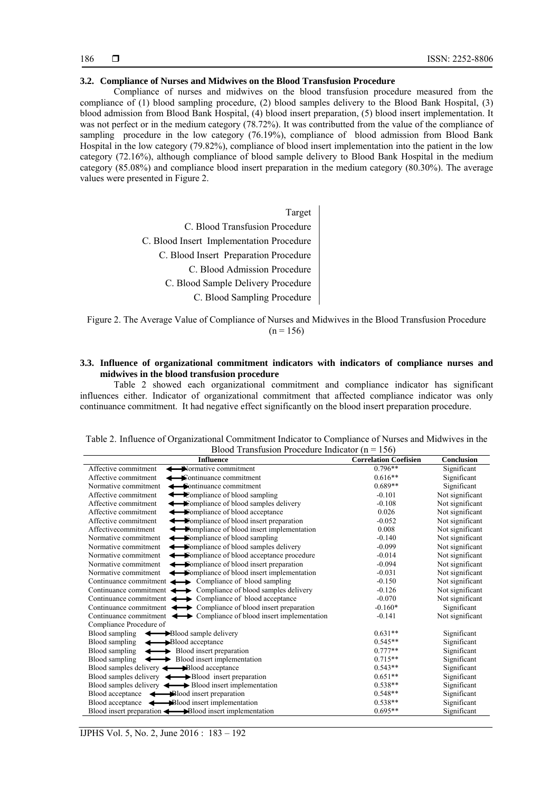#### **3.2. Compliance of Nurses and Midwives on the Blood Transfusion Procedure**

Compliance of nurses and midwives on the blood transfusion procedure measured from the compliance of (1) blood sampling procedure, (2) blood samples delivery to the Blood Bank Hospital, (3) blood admission from Blood Bank Hospital, (4) blood insert preparation, (5) blood insert implementation. It was not perfect or in the medium category (78.72%). It was contributted from the value of the compliance of sampling procedure in the low category (76.19%), compliance of blood admission from Blood Bank Hospital in the low category (79.82%), compliance of blood insert implementation into the patient in the low category (72.16%), although compliance of blood sample delivery to Blood Bank Hospital in the medium category (85.08%) and compliance blood insert preparation in the medium category (80.30%). The average values were presented in Figure 2.

> C. Blood Sampling Procedure C. Blood Sample Delivery Procedure C. Blood Admission Procedure C. Blood Insert Preparation Procedure C. Blood Insert Implementation Procedure C. Blood Transfusion Procedure Target

Figure 2. The Average Value of Compliance of Nurses and Midwives in the Blood Transfusion Procedure  $(n = 156)$ 

#### **3.3. Influence of organizational commitment indicators with indicators of compliance nurses and midwives in the blood transfusion procedure**

Table 2 showed each organizational commitment and compliance indicator has significant influences either. Indicator of organizational commitment that affected compliance indicator was only continuance commitment. It had negative effect significantly on the blood insert preparation procedure.

| <b>Influence</b>                                                                       | <b>Correlation Coefisien</b> | Conclusion      |
|----------------------------------------------------------------------------------------|------------------------------|-----------------|
| Normative commitment<br>Affective commitment                                           | $0.796**$                    | Significant     |
| Affective commitment<br>$\blacktriangleright$ Continuance commitment                   | $0.616**$                    | Significant     |
| Normative commitment<br><b>← Sontinuance commitment</b>                                | $0.689**$                    | Significant     |
| Affective commitment<br>← Eompliance of blood sampling                                 | $-0.101$                     | Not significant |
| Affective commitment<br><b>← E</b> ompliance of blood samples delivery                 | $-0.108$                     | Not significant |
| Affective commitment<br>riangle of blood acceptance                                    | 0.026                        | Not significant |
| ighthrough Separation end of blood insert preparation<br>Affective commitment          | $-0.052$                     | Not significant |
| Affectivecommitment<br><b>Exampliance of blood insert implementation</b>               | 0.008                        | Not significant |
| Normative commitment<br>← Sompliance of blood sampling                                 | $-0.140$                     | Not significant |
| Normative commitment<br>← Sempliance of blood samples delivery                         | $-0.099$                     | Not significant |
| Normative commitment<br>← Sompliance of blood acceptance procedure                     | $-0.014$                     | Not significant |
| ightharpoonup Sompliance of blood insert preparation<br>Normative commitment           | $-0.094$                     | Not significant |
| Normative commitment $\leftarrow$ Sompliance of blood insert implementation            | $-0.031$                     | Not significant |
| Continuance commitment $\longleftrightarrow$ Compliance of blood sampling              | $-0.150$                     | Not significant |
| Continuance commitment $\longleftrightarrow$ Compliance of blood samples delivery      | $-0.126$                     | Not significant |
| Continuance commitment $\longleftrightarrow$ Compliance of blood acceptance            | $-0.070$                     | Not significant |
| Continuance commitment $\longleftrightarrow$ Compliance of blood insert preparation    | $-0.160*$                    | Significant     |
| Continuance commitment $\longleftrightarrow$ Compliance of blood insert implementation | $-0.141$                     | Not significant |
| Compliance Procedure of                                                                |                              |                 |
| Blood sampling $\leftarrow$ Blood sample delivery                                      | $0.631**$                    | Significant     |
| Blood sampling $\leftarrow$ Blood acceptance                                           | $0.545**$                    | Significant     |
| Blood sampling<br>Blood insert preparation                                             | $0.777**$                    | Significant     |
| Blood sampling $\longleftrightarrow$ Blood insert implementation                       | $0.715**$                    | Significant     |
| Blood samples delivery $\leftarrow$ Blood acceptance                                   | $0.543**$                    | Significant     |
| Blood samples delivery $\leftarrow$ Blood insert preparation                           | $0.651**$                    | Significant     |
| Blood samples delivery $\leftarrow$ Blood insert implementation                        | $0.538**$                    | Significant     |
| Blood acceptance $\leftarrow$ <b>Blood</b> insert preparation                          | $0.548**$                    | Significant     |
| Blood acceptance<br>Blood insert implementation                                        | $0.538**$                    | Significant     |
| Blood insert preparation <<br>Blood insert implementation                              | $0.695**$                    | Significant     |

Table 2. Influence of Organizational Commitment Indicator to Compliance of Nurses and Midwives in the Blood Transfusion Procedure Indicator ( $n = 156$ )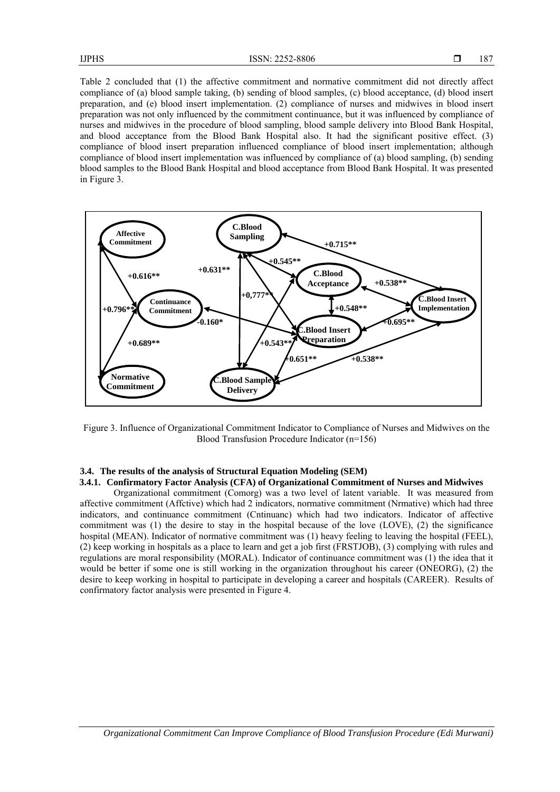Table 2 concluded that (1) the affective commitment and normative commitment did not directly affect compliance of (a) blood sample taking, (b) sending of blood samples, (c) blood acceptance, (d) blood insert preparation, and (e) blood insert implementation. (2) compliance of nurses and midwives in blood insert preparation was not only influenced by the commitment continuance, but it was influenced by compliance of nurses and midwives in the procedure of blood sampling, blood sample delivery into Blood Bank Hospital, and blood acceptance from the Blood Bank Hospital also. It had the significant positive effect. (3) compliance of blood insert preparation influenced compliance of blood insert implementation; although compliance of blood insert implementation was influenced by compliance of (a) blood sampling, (b) sending blood samples to the Blood Bank Hospital and blood acceptance from Blood Bank Hospital. It was presented in Figure 3.



Figure 3. Influence of Organizational Commitment Indicator to Compliance of Nurses and Midwives on the Blood Transfusion Procedure Indicator (n=156)

#### **3.4. The results of the analysis of Structural Equation Modeling (SEM)**

# **3.4.1. Confirmatory Factor Analysis (CFA) of Organizational Commitment of Nurses and Midwives**

Organizational commitment (Comorg) was a two level of latent variable. It was measured from affective commitment (Affctive) which had 2 indicators, normative commitment (Nrmative) which had three indicators, and continuance commitment (Cntinuanc) which had two indicators. Indicator of affective commitment was (1) the desire to stay in the hospital because of the love (LOVE), (2) the significance hospital (MEAN). Indicator of normative commitment was (1) heavy feeling to leaving the hospital (FEEL), (2) keep working in hospitals as a place to learn and get a job first (FRSTJOB), (3) complying with rules and regulations are moral responsibility (MORAL). Indicator of continuance commitment was (1) the idea that it would be better if some one is still working in the organization throughout his career (ONEORG), (2) the desire to keep working in hospital to participate in developing a career and hospitals (CAREER). Results of confirmatory factor analysis were presented in Figure 4.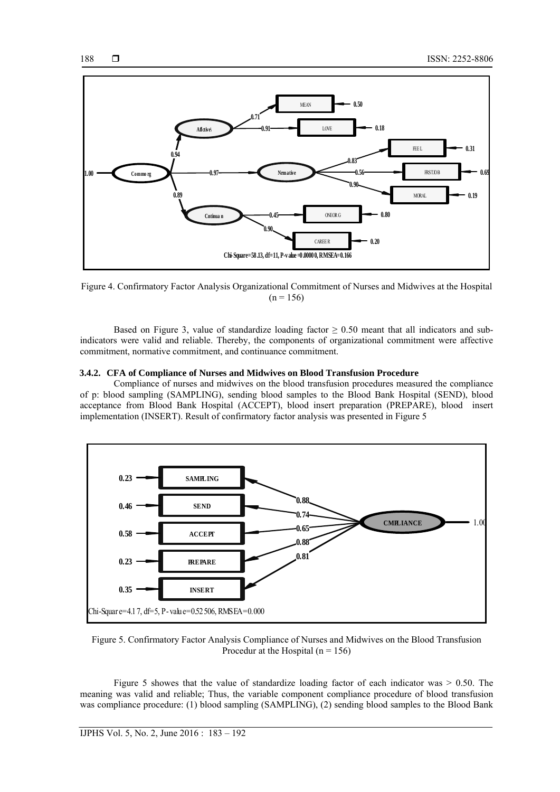

Figure 4. Confirmatory Factor Analysis Organizational Commitment of Nurses and Midwives at the Hospital  $(n = 156)$ 

Based on Figure 3, value of standardize loading factor  $\geq 0.50$  meant that all indicators and subindicators were valid and reliable. Thereby, the components of organizational commitment were affective commitment, normative commitment, and continuance commitment.

#### **3.4.2. CFA of Compliance of Nurses and Midwives on Blood Transfusion Procedure**

Compliance of nurses and midwives on the blood transfusion procedures measured the compliance of p: blood sampling (SAMPLING), sending blood samples to the Blood Bank Hospital (SEND), blood acceptance from Blood Bank Hospital (ACCEPT), blood insert preparation (PREPARE), blood insert implementation (INSERT). Result of confirmatory factor analysis was presented in Figure 5



Figure 5. Confirmatory Factor Analysis Compliance of Nurses and Midwives on the Blood Transfusion Procedur at the Hospital  $(n = 156)$ 

Figure 5 showes that the value of standardize loading factor of each indicator was  $> 0.50$ . The meaning was valid and reliable; Thus, the variable component compliance procedure of blood transfusion was compliance procedure: (1) blood sampling (SAMPLING), (2) sending blood samples to the Blood Bank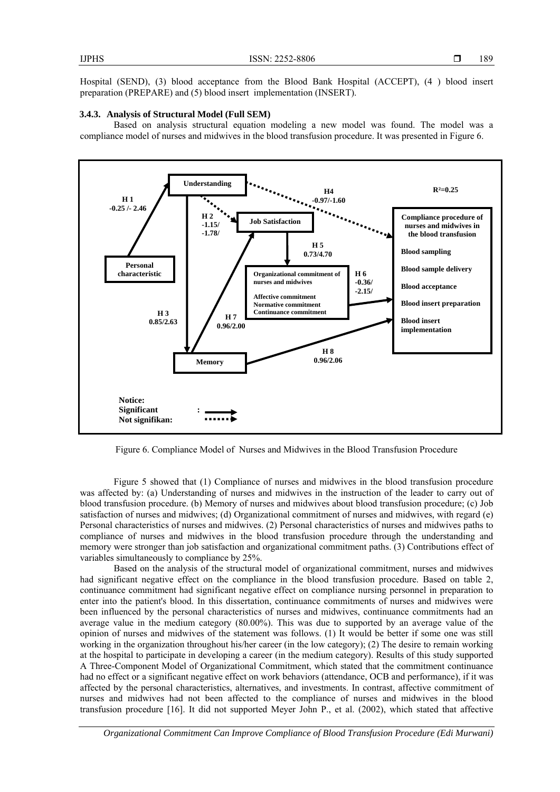Hospital (SEND), (3) blood acceptance from the Blood Bank Hospital (ACCEPT), (4 ) blood insert preparation (PREPARE) and (5) blood insert implementation (INSERT).

#### **3.4.3. Analysis of Structural Model (Full SEM)**

Based on analysis structural equation modeling a new model was found. The model was a compliance model of nurses and midwives in the blood transfusion procedure. It was presented in Figure 6.



Figure 6. Compliance Model of Nurses and Midwives in the Blood Transfusion Procedure

Figure 5 showed that (1) Compliance of nurses and midwives in the blood transfusion procedure was affected by: (a) Understanding of nurses and midwives in the instruction of the leader to carry out of blood transfusion procedure. (b) Memory of nurses and midwives about blood transfusion procedure; (c) Job satisfaction of nurses and midwives; (d) Organizational commitment of nurses and midwives, with regard (e) Personal characteristics of nurses and midwives. (2) Personal characteristics of nurses and midwives paths to compliance of nurses and midwives in the blood transfusion procedure through the understanding and memory were stronger than job satisfaction and organizational commitment paths. (3) Contributions effect of variables simultaneously to compliance by 25%.

Based on the analysis of the structural model of organizational commitment, nurses and midwives had significant negative effect on the compliance in the blood transfusion procedure. Based on table 2, continuance commitment had significant negative effect on compliance nursing personnel in preparation to enter into the patient's blood. In this dissertation, continuance commitments of nurses and midwives were been influenced by the personal characteristics of nurses and midwives, continuance commitments had an average value in the medium category (80.00%). This was due to supported by an average value of the opinion of nurses and midwives of the statement was follows. (1) It would be better if some one was still working in the organization throughout his/her career (in the low category); (2) The desire to remain working at the hospital to participate in developing a career (in the medium category). Results of this study supported A Three-Component Model of Organizational Commitment, which stated that the commitment continuance had no effect or a significant negative effect on work behaviors (attendance, OCB and performance), if it was affected by the personal characteristics, alternatives, and investments. In contrast, affective commitment of nurses and midwives had not been affected to the compliance of nurses and midwives in the blood transfusion procedure [16]. It did not supported Meyer John P., et al. (2002), which stated that affective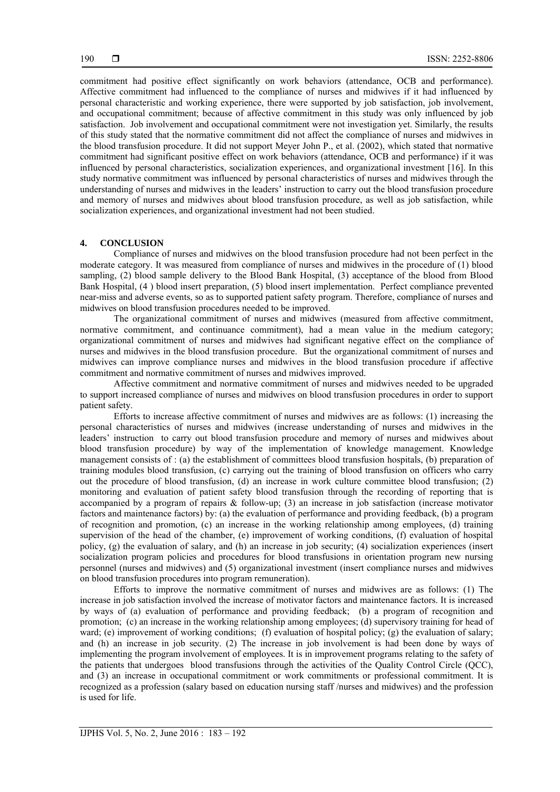commitment had positive effect significantly on work behaviors (attendance, OCB and performance). Affective commitment had influenced to the compliance of nurses and midwives if it had influenced by personal characteristic and working experience, there were supported by job satisfaction, job involvement, and occupational commitment; because of affective commitment in this study was only influenced by job satisfaction. Job involvement and occupational commitment were not investigation yet. Similarly, the results of this study stated that the normative commitment did not affect the compliance of nurses and midwives in the blood transfusion procedure. It did not support Meyer John P., et al. (2002), which stated that normative commitment had significant positive effect on work behaviors (attendance, OCB and performance) if it was influenced by personal characteristics, socialization experiences, and organizational investment [16]. In this study normative commitment was influenced by personal characteristics of nurses and midwives through the understanding of nurses and midwives in the leaders' instruction to carry out the blood transfusion procedure and memory of nurses and midwives about blood transfusion procedure, as well as job satisfaction, while socialization experiences, and organizational investment had not been studied.

#### **4. CONCLUSION**

Compliance of nurses and midwives on the blood transfusion procedure had not been perfect in the moderate category. It was measured from compliance of nurses and midwives in the procedure of (1) blood sampling, (2) blood sample delivery to the Blood Bank Hospital, (3) acceptance of the blood from Blood Bank Hospital, (4 ) blood insert preparation, (5) blood insert implementation. Perfect compliance prevented near-miss and adverse events, so as to supported patient safety program. Therefore, compliance of nurses and midwives on blood transfusion procedures needed to be improved.

The organizational commitment of nurses and midwives (measured from affective commitment, normative commitment, and continuance commitment), had a mean value in the medium category; organizational commitment of nurses and midwives had significant negative effect on the compliance of nurses and midwives in the blood transfusion procedure. But the organizational commitment of nurses and midwives can improve compliance nurses and midwives in the blood transfusion procedure if affective commitment and normative commitment of nurses and midwives improved.

Affective commitment and normative commitment of nurses and midwives needed to be upgraded to support increased compliance of nurses and midwives on blood transfusion procedures in order to support patient safety.

Efforts to increase affective commitment of nurses and midwives are as follows: (1) increasing the personal characteristics of nurses and midwives (increase understanding of nurses and midwives in the leaders' instruction to carry out blood transfusion procedure and memory of nurses and midwives about blood transfusion procedure) by way of the implementation of knowledge management. Knowledge management consists of : (a) the establishment of committees blood transfusion hospitals, (b) preparation of training modules blood transfusion, (c) carrying out the training of blood transfusion on officers who carry out the procedure of blood transfusion, (d) an increase in work culture committee blood transfusion; (2) monitoring and evaluation of patient safety blood transfusion through the recording of reporting that is accompanied by a program of repairs & follow-up; (3) an increase in job satisfaction (increase motivator factors and maintenance factors) by: (a) the evaluation of performance and providing feedback, (b) a program of recognition and promotion, (c) an increase in the working relationship among employees, (d) training supervision of the head of the chamber, (e) improvement of working conditions, (f) evaluation of hospital policy, (g) the evaluation of salary, and (h) an increase in job security; (4) socialization experiences (insert socialization program policies and procedures for blood transfusions in orientation program new nursing personnel (nurses and midwives) and (5) organizational investment (insert compliance nurses and midwives on blood transfusion procedures into program remuneration).

Efforts to improve the normative commitment of nurses and midwives are as follows: (1) The increase in job satisfaction involved the increase of motivator factors and maintenance factors. It is increased by ways of (a) evaluation of performance and providing feedback; (b) a program of recognition and promotion; (c) an increase in the working relationship among employees; (d) supervisory training for head of ward; (e) improvement of working conditions; (f) evaluation of hospital policy; (g) the evaluation of salary; and (h) an increase in job security. (2) The increase in job involvement is had been done by ways of implementing the program involvement of employees. It is in improvement programs relating to the safety of the patients that undergoes blood transfusions through the activities of the Quality Control Circle (QCC), and (3) an increase in occupational commitment or work commitments or professional commitment. It is recognized as a profession (salary based on education nursing staff /nurses and midwives) and the profession is used for life.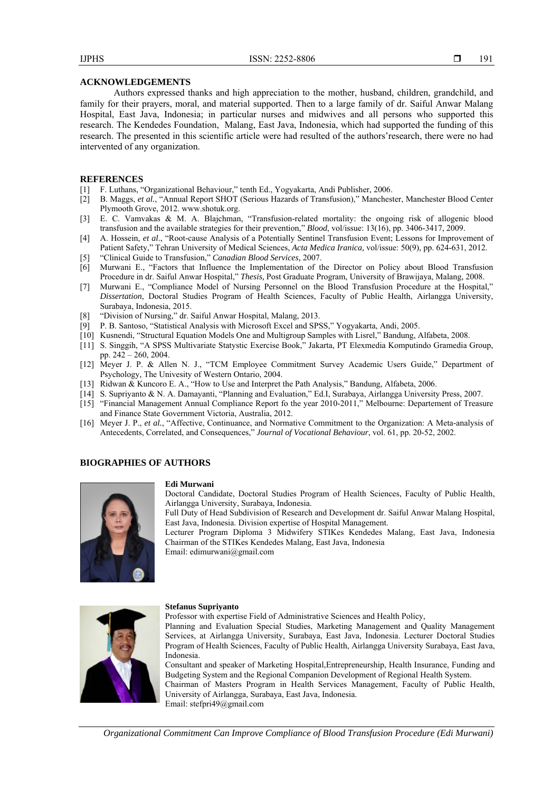#### **ACKNOWLEDGEMENTS**

Authors expressed thanks and high appreciation to the mother, husband, children, grandchild, and family for their prayers, moral, and material supported. Then to a large family of dr. Saiful Anwar Malang Hospital, East Java, Indonesia; in particular nurses and midwives and all persons who supported this research. The Kendedes Foundation, Malang, East Java, Indonesia, which had supported the funding of this research. The presented in this scientific article were had resulted of the authors'research, there were no had intervented of any organization.

#### **REFERENCES**

- [1] F. Luthans, "Organizational Behaviour," tenth Ed., Yogyakarta, Andi Publisher, 2006.
- [2] B. Maggs, *et al.*, "Annual Report SHOT (Serious Hazards of Transfusion)," Manchester, Manchester Blood Center Plymooth Grove, 2012. www.shotuk.org.
- [3] E. C. Vamvakas & M. A. Blajchman, "Transfusion-related mortality: the ongoing risk of allogenic blood transfusion and the available strategies for their prevention," *Blood*, vol/issue: 13(16), pp. 3406-3417, 2009.
- [4] A. Hossein, *et al*., "Root-cause Analysis of a Potentially Sentinel Transfusion Event; Lessons for Improvement of Patient Safety," Tehran University of Medical Sciences, *Acta Medica Iranica,* vol/issue: 50(9), pp. 624-631, 2012.
- [5] "Clinical Guide to Transfusion," *Canadian Blood Services,* 2007.
- [6] Murwani E., "Factors that Influence the Implementation of the Director on Policy about Blood Transfusion Procedure in dr. Saiful Anwar Hospital," *Thesis,* Post Graduate Program, University of Brawijaya, Malang, 2008.
- [7] Murwani E., "Compliance Model of Nursing Personnel on the Blood Transfusion Procedure at the Hospital," *Dissertation*, Doctoral Studies Program of Health Sciences, Faculty of Public Health, Airlangga University, Surabaya, Indonesia, 2015.
- [8] "Division of Nursing," dr. Saiful Anwar Hospital, Malang, 2013.
- [9] P. B. Santoso, "Statistical Analysis with Microsoft Excel and SPSS," Yogyakarta, Andi, 2005.
- [10] Kusnendi, "Structural Equation Models One and Multigroup Samples with Lisrel," Bandung, Alfabeta, 2008.
- [11] S. Singgih, "A SPSS Multivariate Statystic Exercise Book," Jakarta, PT Elexmedia Komputindo Gramedia Group, pp. 242 – 260, 2004.
- [12] Meyer J. P. & Allen N. J., "TCM Employee Commitment Survey Academic Users Guide," Department of Psychology, The Univesity of Western Ontario, 2004.
- [13] Ridwan & Kuncoro E. A., "How to Use and Interpret the Path Analysis," Bandung, Alfabeta, 2006.
- [14] S. Supriyanto & N. A. Damayanti, "Planning and Evaluation," Ed.I, Surabaya, Airlangga University Press, 2007.
- [15] "Financial Management Annual Compliance Report fo the year 2010-2011," Melbourne: Departement of Treasure and Finance State Government Victoria, Australia, 2012.
- [16] Meyer J. P., *et al.*, "Affective, Continuance, and Normative Commitment to the Organization: A Meta-analysis of Antecedents, Correlated, and Consequences," *Journal of Vocational Behaviour*, vol. 61, pp. 20-52, 2002.

#### **BIOGRAPHIES OF AUTHORS**



#### **Edi Murwani**

Doctoral Candidate, Doctoral Studies Program of Health Sciences, Faculty of Public Health, Airlangga University, Surabaya, Indonesia.

Full Duty of Head Subdivision of Research and Development dr. Saiful Anwar Malang Hospital, East Java, Indonesia. Division expertise of Hospital Management.

Lecturer Program Diploma 3 Midwifery STIKes Kendedes Malang, East Java, Indonesia Chairman of the STIKes Kendedes Malang, East Java, Indonesia

Email: edimurwani@gmail.com



#### **Stefanus Supriyanto**

Professor with expertise Field of Administrative Sciences and Health Policy,

Planning and Evaluation Special Studies, Marketing Management and Quality Management Services, at Airlangga University, Surabaya, East Java, Indonesia. Lecturer Doctoral Studies Program of Health Sciences, Faculty of Public Health, Airlangga University Surabaya, East Java, Indonesia.

Consultant and speaker of Marketing Hospital,Entrepreneurship, Health Insurance, Funding and Budgeting System and the Regional Companion Development of Regional Health System. Chairman of Masters Program in Health Services Management, Faculty of Public Health, University of Airlangga, Surabaya, East Java, Indonesia. Email: stefpri49@gmail.com